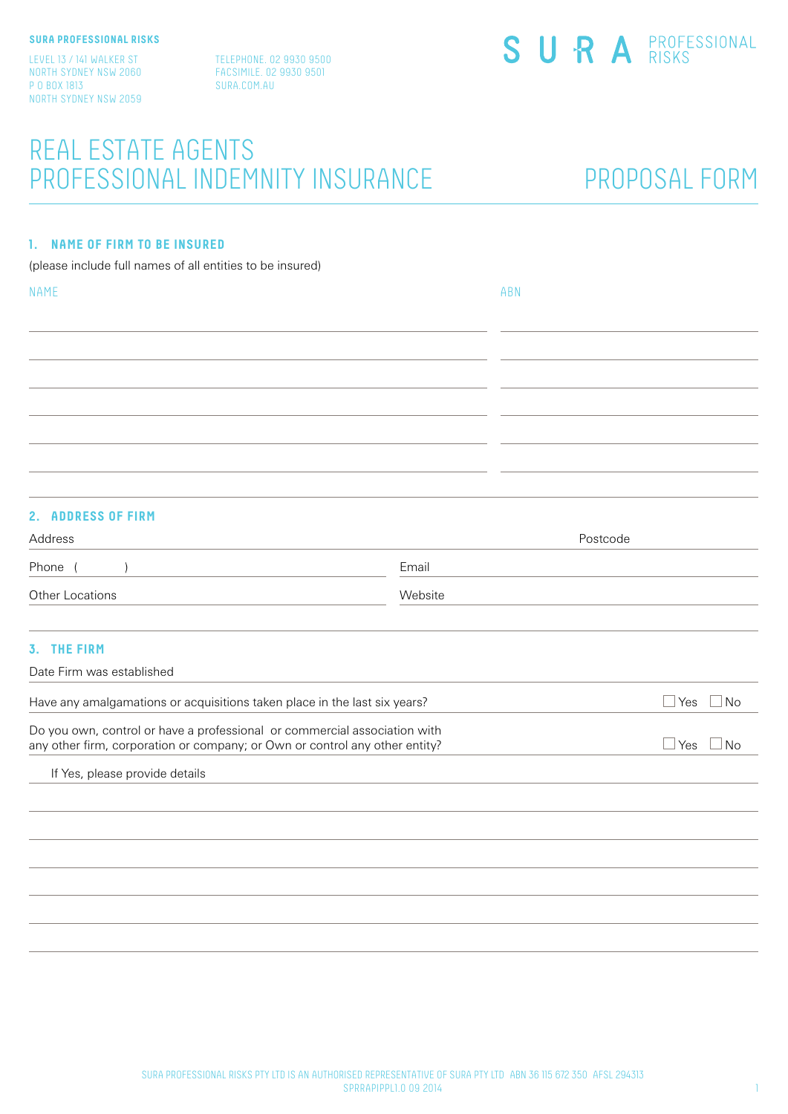Level 13 / 141 Walker St North Sydney NSW 2060 P O BOX 1813 North Sydney NSW 2059 Telephone. 02 9930 9500 Facsimile. 02 9930 9501 sura.com.au

## REAL ESTATE AGENTS PROFESSIONAL INDEMNITY insurance

## PROPOSAL FORM

#### **1. NAME OF FIRM TO BE INSURED**

(please include full names of all entities to be insured)

| <b>NAME</b> | ABN |
|-------------|-----|
|             |     |
|             |     |
|             |     |
|             |     |
|             |     |
|             |     |
|             |     |
|             |     |
|             |     |

#### **2. ADDRESS OF FIRM**

| Address                                                                                                                                                  |         | Postcode                |
|----------------------------------------------------------------------------------------------------------------------------------------------------------|---------|-------------------------|
| Phone                                                                                                                                                    | Email   |                         |
| Other Locations                                                                                                                                          | Website |                         |
| 3. THE FIRM                                                                                                                                              |         |                         |
| Date Firm was established                                                                                                                                |         |                         |
| Have any amalgamations or acquisitions taken place in the last six years?                                                                                |         | $\Box$ Yes<br>$\Box$ No |
| Do you own, control or have a professional or commercial association with<br>any other firm, corporation or company; or Own or control any other entity? |         | Yes<br><b>No</b>        |
| If Yes, please provide details                                                                                                                           |         |                         |
|                                                                                                                                                          |         |                         |
|                                                                                                                                                          |         |                         |
|                                                                                                                                                          |         |                         |
|                                                                                                                                                          |         |                         |
|                                                                                                                                                          |         |                         |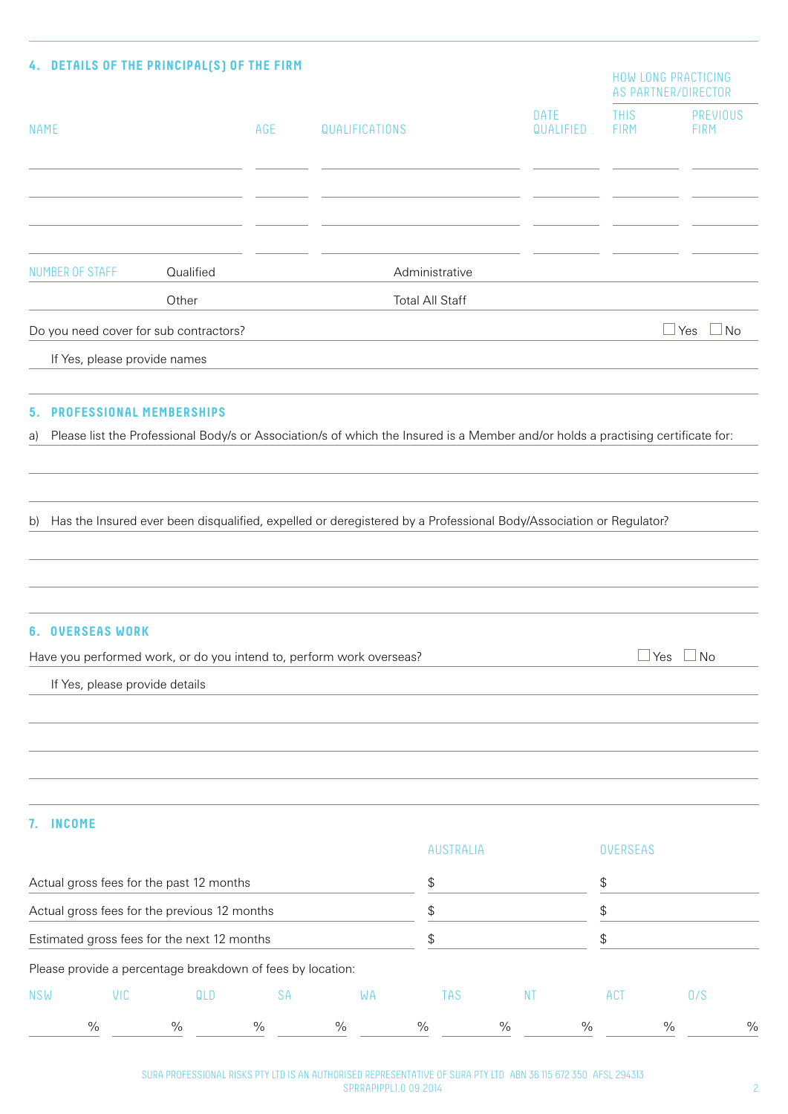| 4. DETAILS OF THE PRINCIPAL(S) OF THE FIRM                 |           |     |                                                                                                                                  |                          |                            | <b>HOW LONG PRACTICING</b><br>AS PARTNER/DIRECTOR |
|------------------------------------------------------------|-----------|-----|----------------------------------------------------------------------------------------------------------------------------------|--------------------------|----------------------------|---------------------------------------------------|
| <b>NAME</b>                                                |           | AGE | QUALIFICATIONS                                                                                                                   | <b>DATE</b><br>QUALIFIED | <b>THIS</b><br><b>FIRM</b> | <b>PREVIOUS</b><br><b>FIRM</b>                    |
|                                                            |           |     |                                                                                                                                  |                          |                            |                                                   |
| <b>NUMBER OF STAFF</b>                                     | Qualified |     | Administrative                                                                                                                   |                          |                            |                                                   |
|                                                            | Other     |     | <b>Total All Staff</b>                                                                                                           |                          |                            |                                                   |
| Do you need cover for sub contractors?                     |           |     |                                                                                                                                  |                          |                            | Yes<br>⊥No                                        |
| If Yes, please provide names                               |           |     |                                                                                                                                  |                          |                            |                                                   |
|                                                            |           |     |                                                                                                                                  |                          |                            |                                                   |
| PROFESSIONAL MEMBERSHIPS<br>5.                             |           |     |                                                                                                                                  |                          |                            |                                                   |
| a)                                                         |           |     | Please list the Professional Body/s or Association/s of which the Insured is a Member and/or holds a practising certificate for: |                          |                            |                                                   |
|                                                            |           |     |                                                                                                                                  |                          |                            |                                                   |
|                                                            |           |     |                                                                                                                                  |                          |                            |                                                   |
| b)                                                         |           |     | Has the Insured ever been disqualified, expelled or deregistered by a Professional Body/Association or Regulator?                |                          |                            |                                                   |
|                                                            |           |     |                                                                                                                                  |                          |                            |                                                   |
|                                                            |           |     |                                                                                                                                  |                          |                            |                                                   |
| <b>6. OVERSEAS WORK</b>                                    |           |     |                                                                                                                                  |                          |                            |                                                   |
|                                                            |           |     | Have you performed work, or do you intend to, perform work overseas?                                                             |                          | $\Box$ Yes                 | $\square$ No                                      |
| If Yes, please provide details                             |           |     |                                                                                                                                  |                          |                            |                                                   |
|                                                            |           |     |                                                                                                                                  |                          |                            |                                                   |
|                                                            |           |     |                                                                                                                                  |                          |                            |                                                   |
|                                                            |           |     |                                                                                                                                  |                          |                            |                                                   |
|                                                            |           |     |                                                                                                                                  |                          |                            |                                                   |
| <b>INCOME</b><br>7.                                        |           |     |                                                                                                                                  |                          |                            |                                                   |
|                                                            |           |     | AUSTRALIA                                                                                                                        |                          | <b>OVERSEAS</b>            |                                                   |
| Actual gross fees for the past 12 months                   |           |     | \$                                                                                                                               |                          | \$                         |                                                   |
| Actual gross fees for the previous 12 months               |           |     | \$                                                                                                                               |                          | \$                         |                                                   |
| Estimated gross fees for the next 12 months                |           |     | \$                                                                                                                               |                          | \$                         |                                                   |
| Please provide a percentage breakdown of fees by location: |           |     |                                                                                                                                  |                          |                            |                                                   |
| VIC<br><b>NSW</b>                                          | QLD       | SA  | WA<br><b>TAS</b>                                                                                                                 | <b>NT</b>                | ACT                        | 0/S                                               |

% % % % % % % % %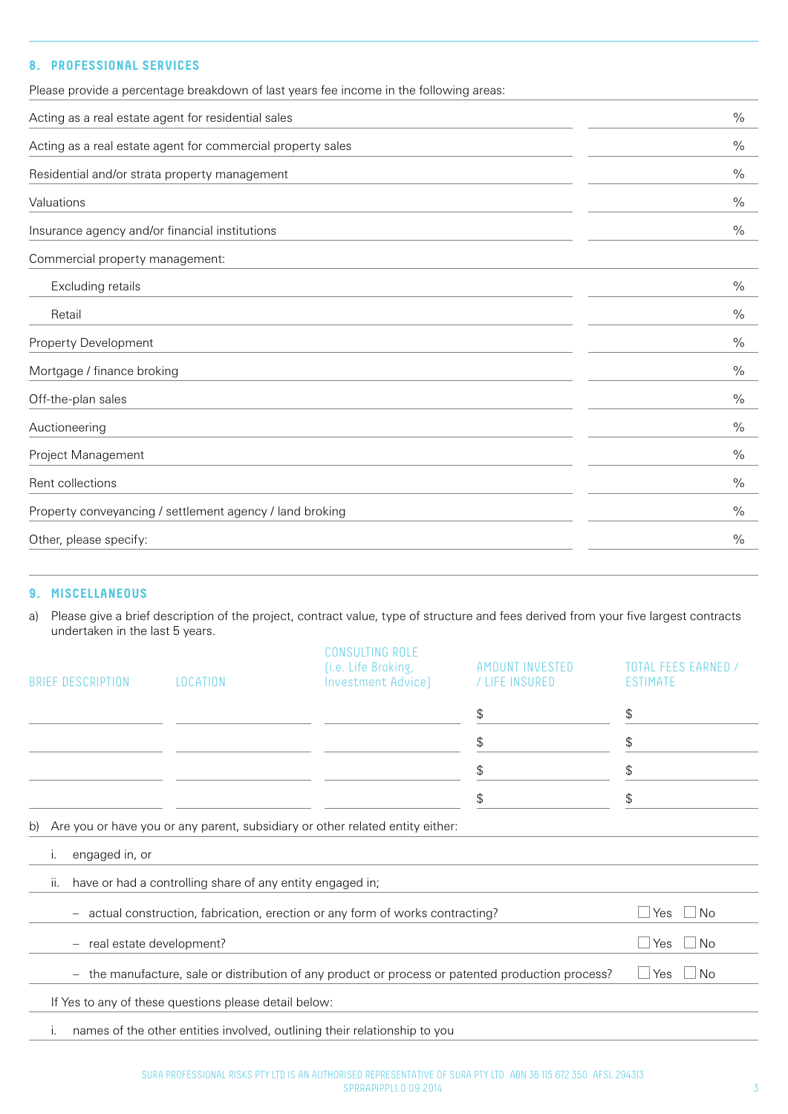## **8. PROFESSIONAL SERVICES**

| Please provide a percentage breakdown of last years fee income in the following areas: |               |
|----------------------------------------------------------------------------------------|---------------|
| Acting as a real estate agent for residential sales                                    | $\frac{0}{0}$ |
| Acting as a real estate agent for commercial property sales                            | $\frac{0}{0}$ |
| Residential and/or strata property management                                          | $\frac{0}{0}$ |
| Valuations                                                                             | $\frac{0}{0}$ |
| Insurance agency and/or financial institutions                                         | $\%$          |
| Commercial property management:                                                        |               |
| Excluding retails                                                                      | $\%$          |
| Retail                                                                                 | $\frac{0}{0}$ |
| <b>Property Development</b>                                                            | $\frac{0}{0}$ |
| Mortgage / finance broking                                                             | $\%$          |
| Off-the-plan sales                                                                     | $\frac{0}{0}$ |
| Auctioneering                                                                          | $\%$          |
| Project Management                                                                     | $\frac{0}{0}$ |
| Rent collections                                                                       | $\frac{0}{0}$ |
| Property conveyancing / settlement agency / land broking                               | $\%$          |
| Other, please specify:                                                                 | $\frac{0}{0}$ |
|                                                                                        |               |

#### **9. MISCELLANEOUS**

a) Please give a brief description of the project, contract value, type of structure and fees derived from your five largest contracts undertaken in the last 5 years.

| <b>BRIEF DESCRIPTION</b>   | LOCATION                                                  | <b>CONSULTING ROLE</b><br>(i.e. Life Broking,<br>Investment Advice)                               | AMOUNT INVESTED<br>/ LIFE INSURED | TOTAL FFFS FARNED<br>ESTIMATE |
|----------------------------|-----------------------------------------------------------|---------------------------------------------------------------------------------------------------|-----------------------------------|-------------------------------|
|                            |                                                           |                                                                                                   | \$                                | \$                            |
|                            |                                                           |                                                                                                   | \$                                | \$                            |
|                            |                                                           |                                                                                                   | \$                                | \$                            |
|                            |                                                           |                                                                                                   | \$                                | \$                            |
| b)<br>engaged in, or<br>Ι. |                                                           | Are you or have you or any parent, subsidiary or other related entity either:                     |                                   |                               |
| ii.                        | have or had a controlling share of any entity engaged in; |                                                                                                   |                                   |                               |
|                            |                                                           | actual construction, fabrication, erection or any form of works contracting?                      |                                   | $\sqcup$ Yes<br>⊥No           |
| - real estate development? |                                                           |                                                                                                   |                                   | ⊥No<br>l Yes                  |
|                            |                                                           | - the manufacture, sale or distribution of any product or process or patented production process? |                                   | $\sqcup$ Yes<br>  No          |
|                            | If Yes to any of these questions please detail below:     |                                                                                                   |                                   |                               |
| Ι.                         |                                                           | names of the other entities involved, outlining their relationship to you                         |                                   |                               |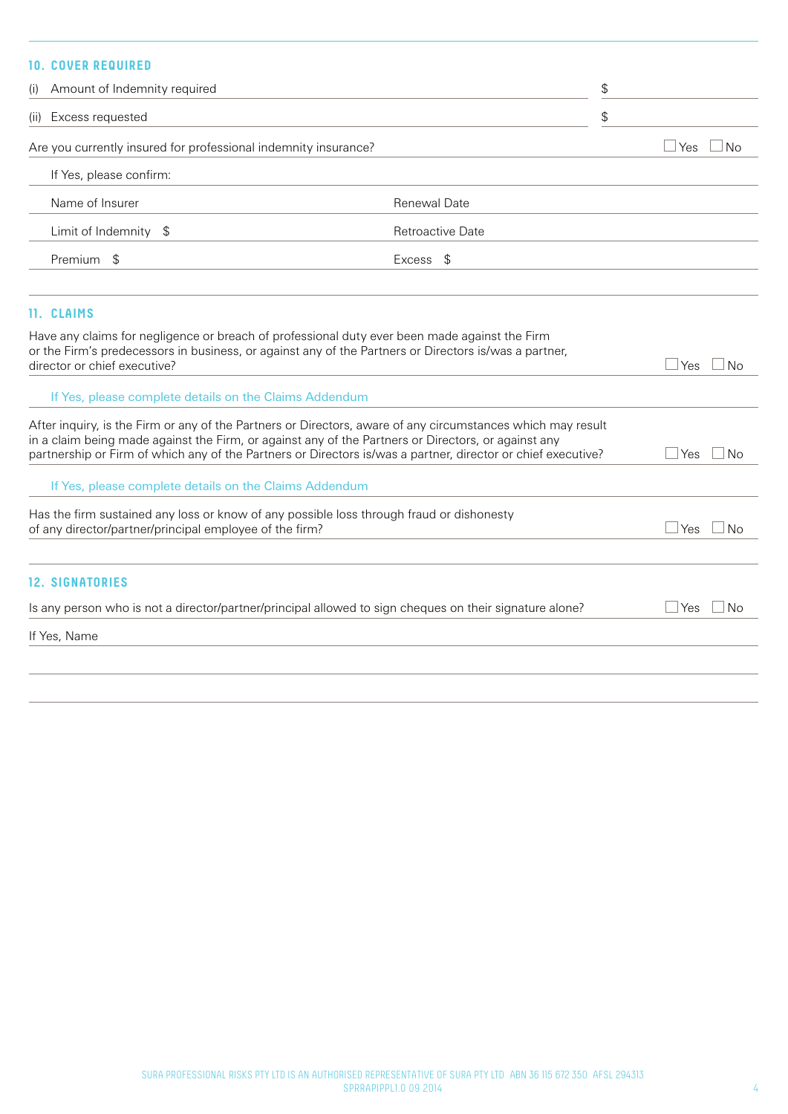### **10. COVER REQUIRED**

|            | (i) Amount of Indemnity required                                |                         | \$               |
|------------|-----------------------------------------------------------------|-------------------------|------------------|
| (ii)       | Excess requested                                                |                         | \$               |
|            | Are you currently insured for professional indemnity insurance? |                         | Yes<br><b>No</b> |
|            | If Yes, please confirm:                                         |                         |                  |
|            | Name of Insurer                                                 | Renewal Date            |                  |
|            | Limit of Indemnity \$                                           | <b>Retroactive Date</b> |                  |
| Premium \$ |                                                                 | Excess \$               |                  |
|            |                                                                 |                         |                  |
|            |                                                                 |                         |                  |

### **11. CLAIMS**

| Have any claims for negligence or breach of professional duty ever been made against the Firm<br>or the Firm's predecessors in business, or against any of the Partners or Directors is/was a partner,                                                                                                                             |               |
|------------------------------------------------------------------------------------------------------------------------------------------------------------------------------------------------------------------------------------------------------------------------------------------------------------------------------------|---------------|
| director or chief executive?                                                                                                                                                                                                                                                                                                       | l Yesi<br>No. |
| If Yes, please complete details on the Claims Addendum                                                                                                                                                                                                                                                                             |               |
| After inquiry, is the Firm or any of the Partners or Directors, aware of any circumstances which may result<br>in a claim being made against the Firm, or against any of the Partners or Directors, or against any<br>partnership or Firm of which any of the Partners or Directors is/was a partner, director or chief executive? | No<br>Yes     |
| If Yes, please complete details on the Claims Addendum                                                                                                                                                                                                                                                                             |               |
| Has the firm sustained any loss or know of any possible loss through fraud or dishonesty<br>of any director/partner/principal employee of the firm?                                                                                                                                                                                | Yes<br>No     |
| <b>12. SIGNATORIES</b>                                                                                                                                                                                                                                                                                                             |               |
| Is any person who is not a director/partner/principal allowed to sign cheques on their signature alone?                                                                                                                                                                                                                            | Yes<br>No     |
| If Yes, Name                                                                                                                                                                                                                                                                                                                       |               |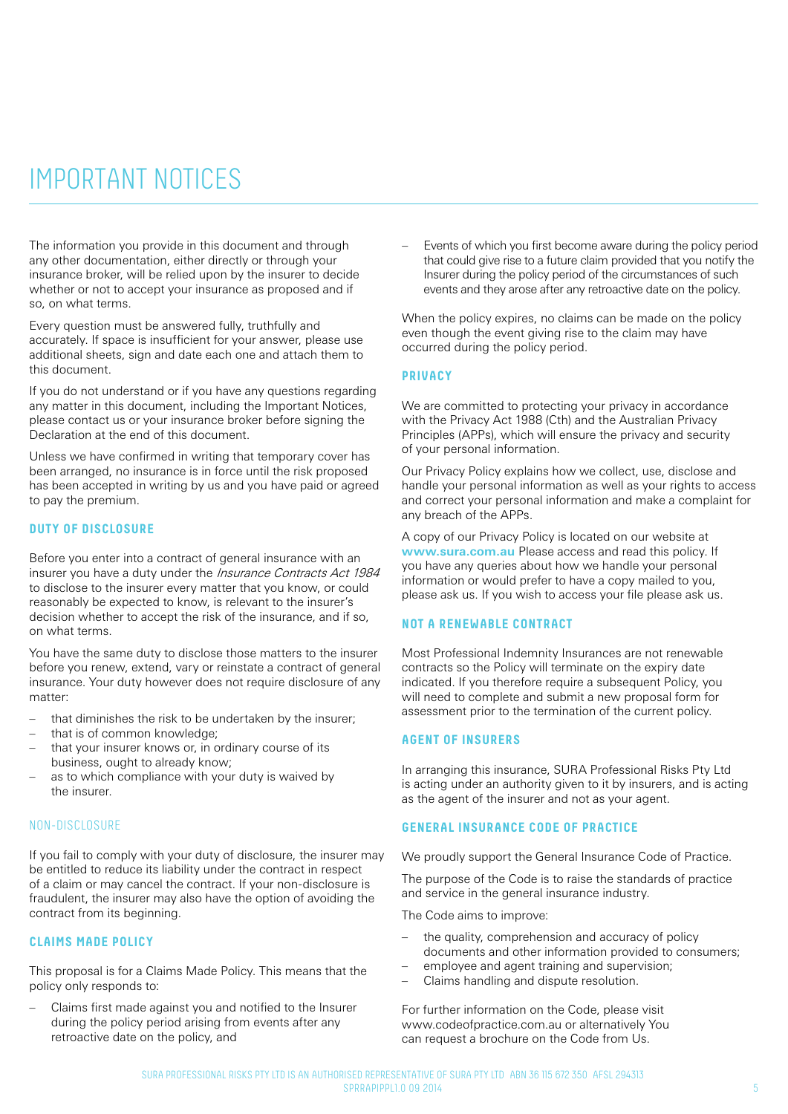## important notices

The information you provide in this document and through any other documentation, either directly or through your insurance broker, will be relied upon by the insurer to decide whether or not to accept your insurance as proposed and if so, on what terms.

Every question must be answered fully, truthfully and accurately. If space is insufficient for your answer, please use additional sheets, sign and date each one and attach them to this document.

If you do not understand or if you have any questions regarding any matter in this document, including the Important Notices, please contact us or your insurance broker before signing the Declaration at the end of this document.

Unless we have confirmed in writing that temporary cover has been arranged, no insurance is in force until the risk proposed has been accepted in writing by us and you have paid or agreed to pay the premium.

#### **DUTY OF DISCLOSURE**

Before you enter into a contract of general insurance with an insurer you have a duty under the *Insurance Contracts Act 1984* to disclose to the insurer every matter that you know, or could reasonably be expected to know, is relevant to the insurer's decision whether to accept the risk of the insurance, and if so, on what terms.

You have the same duty to disclose those matters to the insurer before you renew, extend, vary or reinstate a contract of general insurance. Your duty however does not require disclosure of any matter:

- that diminishes the risk to be undertaken by the insurer;
- that is of common knowledge;
- that your insurer knows or, in ordinary course of its business, ought to already know;
- as to which compliance with your duty is waived by the insurer.

#### Non-Disclosure

If you fail to comply with your duty of disclosure, the insurer may be entitled to reduce its liability under the contract in respect of a claim or may cancel the contract. If your non-disclosure is fraudulent, the insurer may also have the option of avoiding the contract from its beginning.

#### **CLAIMS MADE POLICY**

This proposal is for a Claims Made Policy. This means that the policy only responds to:

– Claims first made against you and notified to the Insurer during the policy period arising from events after any retroactive date on the policy, and

– Events of which you first become aware during the policy period that could give rise to a future claim provided that you notify the Insurer during the policy period of the circumstances of such events and they arose after any retroactive date on the policy.

When the policy expires, no claims can be made on the policy even though the event giving rise to the claim may have occurred during the policy period.

#### **PRIVACY**

We are committed to protecting your privacy in accordance with the Privacy Act 1988 (Cth) and the Australian Privacy Principles (APPs), which will ensure the privacy and security of your personal information.

Our Privacy Policy explains how we collect, use, disclose and handle your personal information as well as your rights to access and correct your personal information and make a complaint for any breach of the APPs.

A copy of our Privacy Policy is located on our website at **www.sura.com.au** Please access and read this policy. If you have any queries about how we handle your personal information or would prefer to have a copy mailed to you, please ask us. If you wish to access your file please ask us.

#### **NOT A RENEWABLE CONTRACT**

Most Professional Indemnity Insurances are not renewable contracts so the Policy will terminate on the expiry date indicated. If you therefore require a subsequent Policy, you will need to complete and submit a new proposal form for assessment prior to the termination of the current policy.

#### **AGENT OF INSURERS**

In arranging this insurance, SURA Professional Risks Pty Ltd is acting under an authority given to it by insurers, and is acting as the agent of the insurer and not as your agent.

#### **GENERAL INSURANCE CODE OF PRACTICE**

We proudly support the General Insurance Code of Practice.

The purpose of the Code is to raise the standards of practice and service in the general insurance industry.

The Code aims to improve:

- the quality, comprehension and accuracy of policy documents and other information provided to consumers;
- employee and agent training and supervision;
- Claims handling and dispute resolution.

For further information on the Code, please visit www.codeofpractice.com.au or alternatively You can request a brochure on the Code from Us.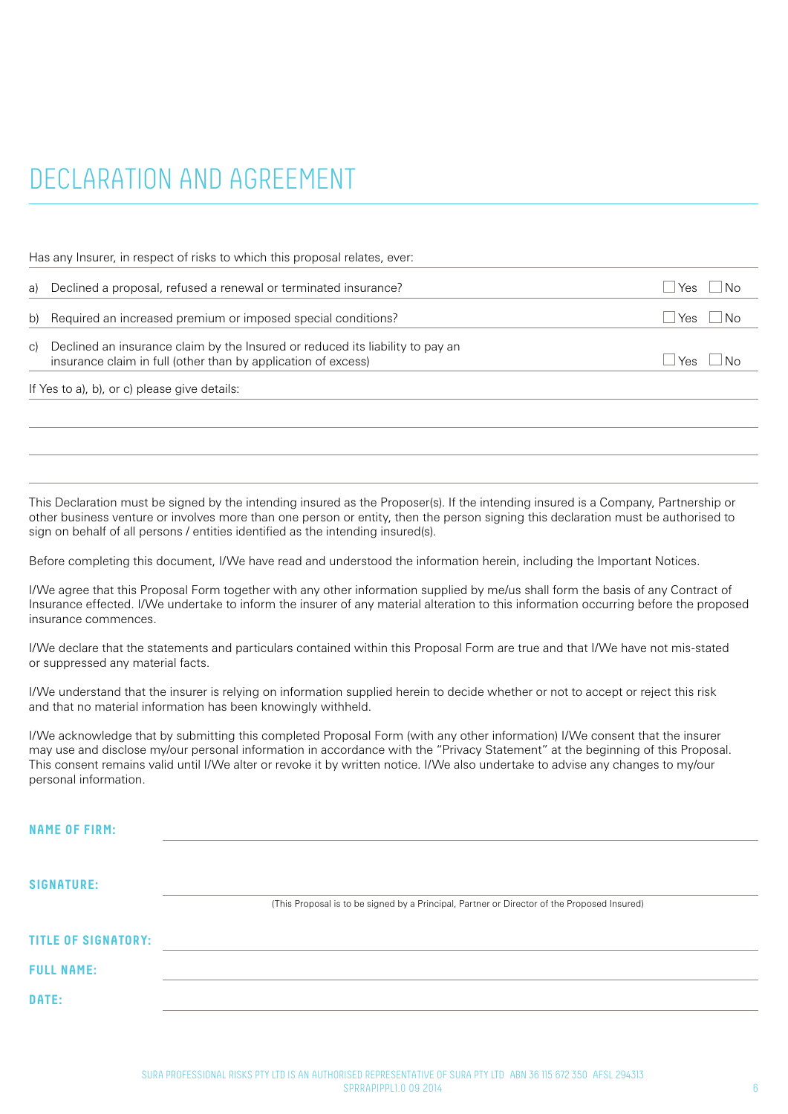# DECLARATION AND AGREEMENT

Has any Insurer, in respect of risks to which this proposal relates, ever:

| a) Declined a proposal, refused a renewal or terminated insurance?                                                                                | Yes.            | ∣No           |
|---------------------------------------------------------------------------------------------------------------------------------------------------|-----------------|---------------|
| b) Required an increased premium or imposed special conditions?                                                                                   |                 | $Yes \cup No$ |
| c) Declined an insurance claim by the Insured or reduced its liability to pay an<br>insurance claim in full (other than by application of excess) | $Y_{\text{AS}}$ | ∣ IN∩         |
|                                                                                                                                                   |                 |               |

If Yes to a), b), or c) please give details:

This Declaration must be signed by the intending insured as the Proposer(s). If the intending insured is a Company, Partnership or other business venture or involves more than one person or entity, then the person signing this declaration must be authorised to sign on behalf of all persons / entities identified as the intending insured(s).

Before completing this document, I/We have read and understood the information herein, including the Important Notices.

I/We agree that this Proposal Form together with any other information supplied by me/us shall form the basis of any Contract of Insurance effected. I/We undertake to inform the insurer of any material alteration to this information occurring before the proposed insurance commences.

I/We declare that the statements and particulars contained within this Proposal Form are true and that I/We have not mis-stated or suppressed any material facts.

I/We understand that the insurer is relying on information supplied herein to decide whether or not to accept or reject this risk and that no material information has been knowingly withheld.

I/We acknowledge that by submitting this completed Proposal Form (with any other information) I/We consent that the insurer may use and disclose my/our personal information in accordance with the "Privacy Statement" at the beginning of this Proposal. This consent remains valid until I/We alter or revoke it by written notice. I/We also undertake to advise any changes to my/our personal information.

| <b>NAME OF FIRM:</b>       |                                                                                             |
|----------------------------|---------------------------------------------------------------------------------------------|
| <b>SIGNATURE:</b>          |                                                                                             |
|                            | (This Proposal is to be signed by a Principal, Partner or Director of the Proposed Insured) |
| <b>TITLE OF SIGNATORY:</b> |                                                                                             |
| <b>FULL NAME:</b>          |                                                                                             |
| DATE:                      |                                                                                             |